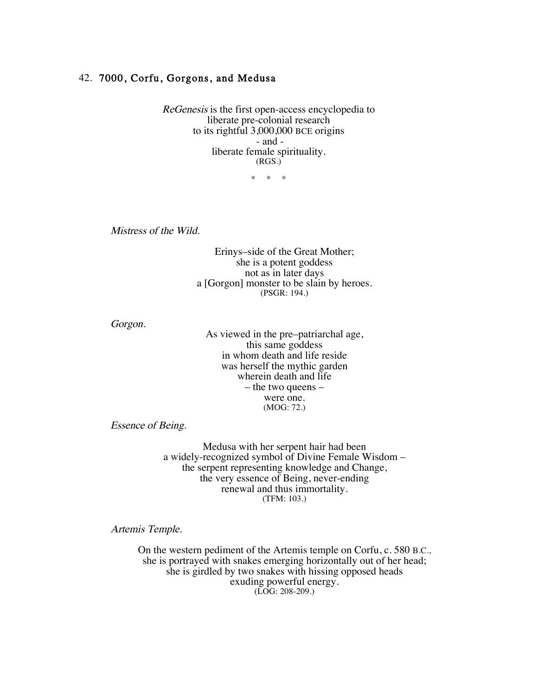## 42. 7000, Corfu, Gorgons, and Medusa

ReGenesis is the first open-access encyclopedia to liberate pre-colonial research to its rightful 3,000,000 BCE origins - and liberate female spirituality. (RGS.)

\* \* \*

Mistress of the Wild.

Erinys–side of the Great Mother; she is a potent goddess not as in later days a [Gorgon] monster to be slain by heroes. (PSGR: 194.)

Gorgon.

As viewed in the pre–patriarchal age, this same goddess in whom death and life reside was herself the mythic garden wherein death and life – the two queens – were one. (MOG: 72.)

Essence of Being.

Medusa with her serpent hair had been a widely-recognized symbol of Divine Female Wisdom – the serpent representing knowledge and Change, the very essence of Being, never-ending renewal and thus immortality. (TFM: 103.)

Artemis Temple.

On the western pediment of the Artemis temple on Corfu, c. 580 B.C., she is portrayed with snakes emerging horizontally out of her head; she is girdled by two snakes with hissing opposed heads exuding powerful energy. (LOG: 208-209.)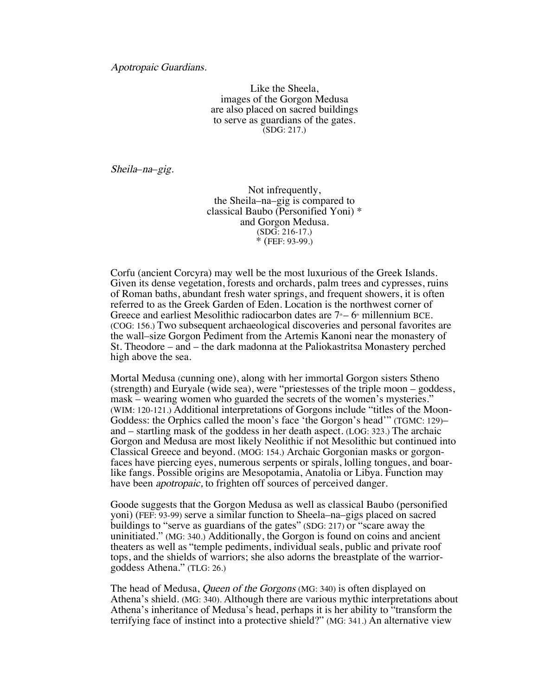## Apotropaic Guardians.

Like the Sheela, images of the Gorgon Medusa are also placed on sacred buildings to serve as guardians of the gates. (SDG: 217.)

Sheila–na–gig.

Not infrequently, the Sheila–na–gig is compared to classical Baubo (Personified Yoni) \* and Gorgon Medusa. (SDG: 216-17.) \* (FEF: 93-99.)

Corfu (ancient Corcyra) may well be the most luxurious of the Greek Islands. Given its dense vegetation, forests and orchards, palm trees and cypresses, ruins of Roman baths, abundant fresh water springs, and frequent showers, it is often referred to as the Greek Garden of Eden. Location is the northwest corner of Greece and earliest Mesolithic radiocarbon dates are  $7 - 6$  millennium BCE. (COG: 156.) Two subsequent archaeological discoveries and personal favorites are the wall–size Gorgon Pediment from the Artemis Kanoni near the monastery of St. Theodore – and – the dark madonna at the Paliokastritsa Monastery perched high above the sea.

Mortal Medusa (cunning one), along with her immortal Gorgon sisters Stheno (strength) and Euryale (wide sea), were "priestesses of the triple moon – goddess, mask – wearing women who guarded the secrets of the women's mysteries." (WIM: 120-121.) Additional interpretations of Gorgons include "titles of the Moon-Goddess: the Orphics called the moon's face 'the Gorgon's head'" (TGMC: 129)– and – startling mask of the goddess in her death aspect. (LOG: 323.) The archaic Gorgon and Medusa are most likely Neolithic if not Mesolithic but continued into Classical Greece and beyond. (MOG: 154.) Archaic Gorgonian masks or gorgonfaces have piercing eyes, numerous serpents or spirals, lolling tongues, and boarlike fangs. Possible origins are Mesopotamia, Anatolia or Libya. Function may have been *apotropaic*, to frighten off sources of perceived danger.

Goode suggests that the Gorgon Medusa as well as classical Baubo (personified yoni) (FEF: 93-99) serve a similar function to Sheela–na–gigs placed on sacred buildings to "serve as guardians of the gates" (SDG: 217) or "scare away the uninitiated." (MG: 340.) Additionally, the Gorgon is found on coins and ancient theaters as well as "temple pediments, individual seals, public and private roof tops, and the shields of warriors; she also adorns the breastplate of the warriorgoddess Athena." (TLG: 26.)

The head of Medusa, Queen of the Gorgons (MG: 340) is often displayed on Athena's shield. (MG: 340). Although there are various mythic interpretations about Athena's inheritance of Medusa's head, perhaps it is her ability to "transform the terrifying face of instinct into a protective shield?" (MG: 341.) An alternative view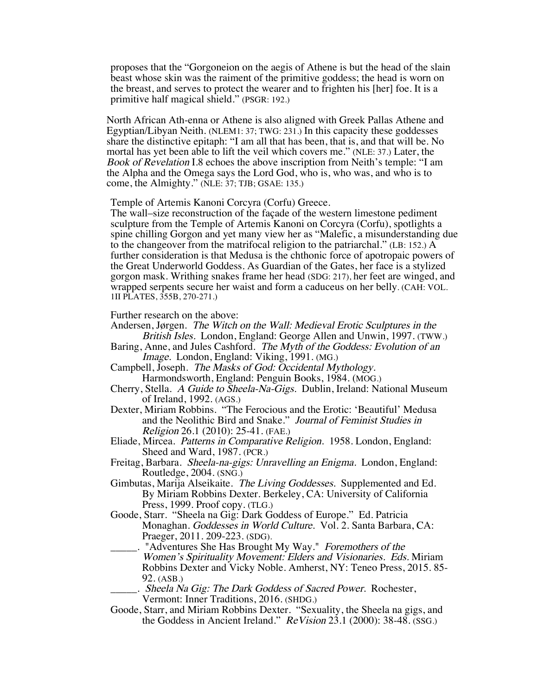proposes that the "Gorgoneion on the aegis of Athene is but the head of the slain beast whose skin was the raiment of the primitive goddess; the head is worn on the breast, and serves to protect the wearer and to frighten his [her] foe. It is a primitive half magical shield." (PSGR: 192.)

North African Ath-enna or Athene is also aligned with Greek Pallas Athene and Egyptian/Libyan Neith. (NLEM1: 37; TWG: 231.) In this capacity these goddesses share the distinctive epitaph: "I am all that has been, that is, and that will be. No mortal has yet been able to lift the veil which covers me." (NLE: 37.) Later, the Book of Revelation I.8 echoes the above inscription from Neith's temple: "I am the Alpha and the Omega says the Lord God, who is, who was, and who is to come, the Almighty." (NLE: 37; TJB; GSAE: 135.)

Temple of Artemis Kanoni Corcyra (Corfu) Greece.

The wall–size reconstruction of the façade of the western limestone pediment sculpture from the Temple of Artemis Kanoni on Corcyra (Corfu), spotlights a spine chilling Gorgon and yet many view her as "Malefic, a misunderstanding due to the changeover from the matrifocal religion to the patriarchal." (LB: 152.) A further consideration is that Medusa is the chthonic force of apotropaic powers of the Great Underworld Goddess. As Guardian of the Gates, her face is a stylized gorgon mask. Writhing snakes frame her head (SDG: 217), her feet are winged, and wrapped serpents secure her waist and form a caduceus on her belly. (CAH: VOL. 1II PLATES, 355B, 270-271.)

Further research on the above:

- Andersen, Jørgen. The Witch on the Wall: Medieval Erotic Sculptures in the British Isles. London, England: George Allen and Unwin, 1997. (TWW.)
- Baring, Anne, and Jules Cashford. The Myth of the Goddess: Evolution of an Image. London, England: Viking, 1991. (MG.)
- Campbell, Joseph. The Masks of God: Occidental Mythology. Harmondsworth, England: Penguin Books, 1984. (MOG.)
- Cherry, Stella. A Guide to Sheela-Na-Gigs. Dublin, Ireland: National Museum of Ireland, 1992. (AGS.)
- Dexter, Miriam Robbins. "The Ferocious and the Erotic: 'Beautiful' Medusa and the Neolithic Bird and Snake." Journal of Feminist Studies in Religion 26.1 (2010): 25-41. (FAE.)
- Eliade, Mircea. Patterns in Comparative Religion. 1958. London, England: Sheed and Ward, 1987. (PCR.)
- Freitag, Barbara. Sheela-na-gigs: Unravelling an Enigma. London, England: Routledge, 2004. (SNG.)
- Gimbutas, Marija Alseikaite. The Living Goddesses. Supplemented and Ed. By Miriam Robbins Dexter. Berkeley, CA: University of California Press, 1999. Proof copy. (TLG.)
- Goode, Starr. "Sheela na Gig: Dark Goddess of Europe." Ed. Patricia Monaghan. Goddesses in World Culture. Vol. 2. Santa Barbara, CA: Praeger, 2011. 209-223. (SDG).
- . "Adventures She Has Brought My Way." Foremothers of the Women's Spirituality Movement: Elders and Visionaries. Eds. Miriam Robbins Dexter and Vicky Noble. Amherst, NY: Teneo Press, 2015. 85- 92. (ASB.)
	- \_\_\_\_\_. Sheela Na Gig: The Dark Goddess of Sacred Power. Rochester, Vermont: Inner Traditions, 2016. (SHDG.)
- Goode, Starr, and Miriam Robbins Dexter. "Sexuality, the Sheela na gigs, and the Goddess in Ancient Ireland." ReVision 23.1 (2000): 38-48. (SSG.)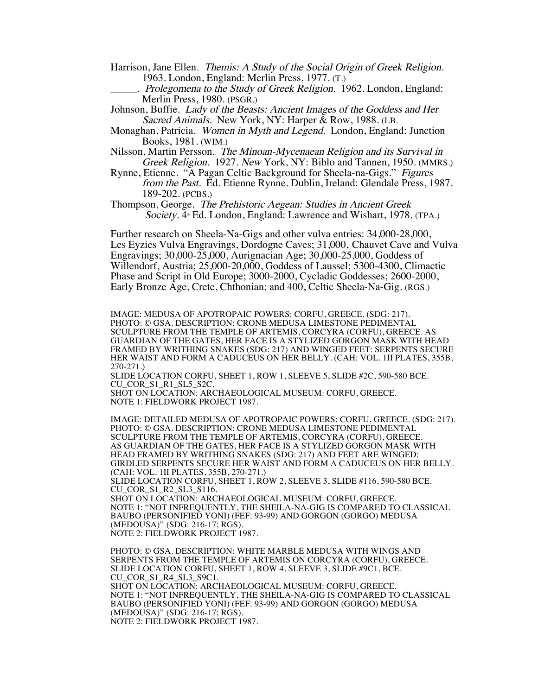- Harrison, Jane Ellen. Themis: A Study of the Social Origin of Greek Religion. 1963. London, England: Merlin Press, 1977. (T.)
- .. Prolegomena to the Study of Greek Religion. 1962. London, England: Merlin Press, 1980. (PSGR.)
- Johnson, Buffie. Lady of the Beasts: Ancient Images of the Goddess and Her Sacred Animals. New York, NY: Harper & Row, 1988. (LB.
- Monaghan, Patricia. Women in Myth and Legend. London, England: Junction Books, 1981. (WIM.)
- Nilsson, Martin Persson. The Minoan-Mycenaean Religion and its Survival in Greek Religion. 1927. New York, NY: Biblo and Tannen, 1950. (MMRS.)
- Rynne, Etienne. "A Pagan Celtic Background for Sheela-na-Gigs." Figures from the Past. Ed. Etienne Rynne. Dublin, Ireland: Glendale Press, 1987. 189-202. (PCBS.)

Thompson, George. The Prehistoric Aegean: Studies in Ancient Greek Society. 4<sup>th</sup> Ed. London, England: Lawrence and Wishart, 1978. (TPA.)

Further research on Sheela-Na-Gigs and other vulva entries: 34,000-28,000, Les Eyzies Vulva Engravings, Dordogne Caves; 31,000, Chauvet Cave and Vulva Engravings; 30,000-25,000, Aurignacian Age; 30,000-25,000, Goddess of Willendorf, Austria; 25,000-20,000, Goddess of Laussel; 5300-4300, Climactic Phase and Script in Old Europe; 3000-2000, Cycladic Goddesses; 2600-2000, Early Bronze Age, Crete, Chthonian; and 400, Celtic Sheela-Na-Gig. (RGS.)

IMAGE: MEDUSA OF APOTROPAIC POWERS: CORFU, GREECE. (SDG: 217). PHOTO: © GSA. DESCRIPTION: CRONE MEDUSA LIMESTONE PEDIMENTAL SCULPTURE FROM THE TEMPLE OF ARTEMIS, CORCYRA (CORFU), GREECE. AS GUARDIAN OF THE GATES, HER FACE IS A STYLIZED GORGON MASK WITH HEAD FRAMED BY WRITHING SNAKES (SDG: 217) AND WINGED FEET: SERPENTS SECURE HER WAIST AND FORM A CADUCEUS ON HER BELLY. (CAH: VOL. 1II PLATES, 355B, 270-271.)

SLIDE LOCATION CORFU, SHEET 1, ROW 1, SLEEVE 5, SLIDE #2C, 590-580 BCE. CU\_COR\_S1\_R1\_SL5\_S2C.

SHOT ON LOCATION: ARCHAEOLOGICAL MUSEUM: CORFU, GREECE. NOTE 1: FIELDWORK PROJECT 1987.

IMAGE: DETAILED MEDUSA OF APOTROPAIC POWERS: CORFU, GREECE. (SDG: 217). PHOTO: © GSA. DESCRIPTION: CRONE MEDUSA LIMESTONE PEDIMENTAL SCULPTURE FROM THE TEMPLE OF ARTEMIS, CORCYRA (CORFU), GREECE. AS GUARDIAN OF THE GATES, HER FACE IS A STYLIZED GORGON MASK WITH HEAD FRAMED BY WRITHING SNAKES (SDG: 217) AND FEET ARE WINGED: GIRDLED SERPENTS SECURE HER WAIST AND FORM A CADUCEUS ON HER BELLY. (CAH: VOL. 1II PLATES, 355B, 270-271.)

SLIDE LOCATION CORFU, SHEET 1, ROW 2, SLEEVE 3, SLIDE #116, 590-580 BCE. CU\_COR\_S1\_R2\_SL3\_S116.

SHOT ON LOCATION: ARCHAEOLOGICAL MUSEUM: CORFU, GREECE. NOTE 1: "NOT INFREQUENTLY, THE SHEILA-NA-GIG IS COMPARED TO CLASSICAL BAUBO (PERSONIFIED YONI) (FEF: 93-99) AND GORGON (GORGO) MEDUSA (MEDOUSA)" (SDG: 216-17; RGS). NOTE 2: FIELDWORK PROJECT 1987.

PHOTO: © GSA. DESCRIPTION: WHITE MARBLE MEDUSA WITH WINGS AND SERPENTS FROM THE TEMPLE OF ARTEMIS ON CORCYRA (CORFU), GREECE. SLIDE LOCATION CORFU, SHEET 1, ROW 4, SLEEVE 3, SLIDE #9C1, BCE. CU\_COR\_S1\_R4\_SL3\_S9C1. SHOT ON LOCATION: ARCHAEOLOGICAL MUSEUM: CORFU, GREECE. NOTE 1: "NOT INFREQUENTLY, THE SHEILA-NA-GIG IS COMPARED TO CLASSICAL BAUBO (PERSONIFIED YONI) (FEF: 93-99) AND GORGON (GORGO) MEDUSA (MEDOUSA)" (SDG: 216-17; RGS). NOTE 2: FIELDWORK PROJECT 1987.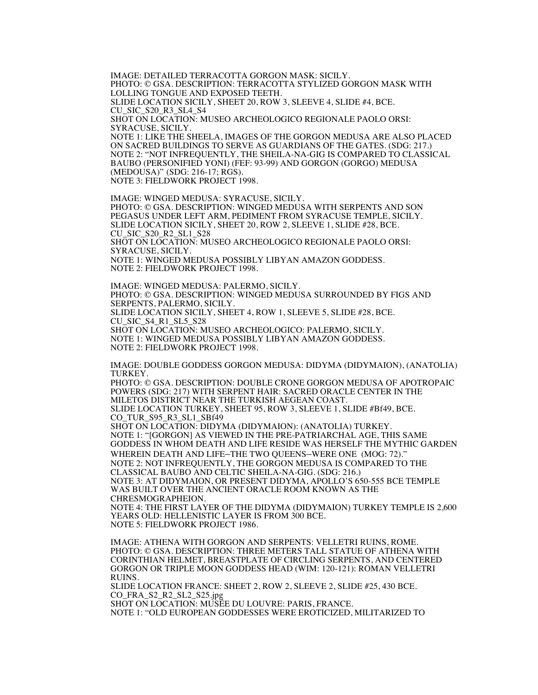IMAGE: DETAILED TERRACOTTA GORGON MASK: SICILY. PHOTO: © GSA. DESCRIPTION: TERRACOTTA STYLIZED GORGON MASK WITH LOLLING TONGUE AND EXPOSED TEETH. SLIDE LOCATION SICILY, SHEET 20, ROW 3, SLEEVE 4, SLIDE #4, BCE. CU\_SIC\_S20\_R3\_SL4\_S4

SHOT ON LOCATION: MUSEO ARCHEOLOGICO REGIONALE PAOLO ORSI: SYRACUSE, SICILY.

NOTE 1: LIKE THE SHEELA, IMAGES OF THE GORGON MEDUSA ARE ALSO PLACED ON SACRED BUILDINGS TO SERVE AS GUARDIANS OF THE GATES. (SDG: 217.) NOTE 2: "NOT INFREQUENTLY, THE SHEILA-NA-GIG IS COMPARED TO CLASSICAL BAUBO (PERSONIFIED YONI) (FEF: 93-99) AND GORGON (GORGO) MEDUSA (MEDOUSA)" (SDG: 216-17; RGS). NOTE 3: FIELDWORK PROJECT 1998.

IMAGE: WINGED MEDUSA: SYRACUSE, SICILY. PHOTO: © GSA. DESCRIPTION: WINGED MEDUSA WITH SERPENTS AND SON PEGASUS UNDER LEFT ARM, PEDIMENT FROM SYRACUSE TEMPLE, SICILY. SLIDE LOCATION SICILY, SHEET 20, ROW 2, SLEEVE 1, SLIDE #28, BCE. CU\_SIC\_S20\_R2\_SL1\_S28 SHOT ON LOCATION: MUSEO ARCHEOLOGICO REGIONALE PAOLO ORSI: SYRACUSE, SICILY. NOTE 1: WINGED MEDUSA POSSIBLY LIBYAN AMAZON GODDESS.

NOTE 2: FIELDWORK PROJECT 1998.

IMAGE: WINGED MEDUSA: PALERMO, SICILY. PHOTO: © GSA. DESCRIPTION: WINGED MEDUSA SURROUNDED BY FIGS AND SERPENTS, PALERMO, SICILY. SLIDE LOCATION SICILY, SHEET 4, ROW 1, SLEEVE 5, SLIDE #28, BCE. CU\_SIC\_S4\_R1\_SL5\_S28 SHOT ON LOCATION: MUSEO ARCHEOLOGICO: PALERMO, SICILY. NOTE 1: WINGED MEDUSA POSSIBLY LIBYAN AMAZON GODDESS. NOTE 2: FIELDWORK PROJECT 1998.

IMAGE: DOUBLE GODDESS GORGON MEDUSA: DIDYMA (DIDYMAION), (ANATOLIA) TURKEY.

PHOTO: © GSA. DESCRIPTION: DOUBLE CRONE GORGON MEDUSA OF APOTROPAIC POWERS (SDG: 217) WITH SERPENT HAIR: SACRED ORACLE CENTER IN THE MILETOS DISTRICT NEAR THE TURKISH AEGEAN COAST. SLIDE LOCATION TURKEY, SHEET 95, ROW 3, SLEEVE 1, SLIDE #Bf49, BCE. CO\_TUR\_S95\_R3\_SL1\_SBf49 SHOT ON LOCATION: DIDYMA (DIDYMAION): (ANATOLIA) TURKEY.

NOTE 1: "[GORGON] AS VIEWED IN THE PRE-PATRIARCHAL AGE, THIS SAME GODDESS IN WHOM DEATH AND LIFE RESIDE WAS HERSELF THE MYTHIC GARDEN WHEREIN DEATH AND LIFE–THE TWO QUEENS–WERE ONE (MOG: 72)." NOTE 2: NOT INFREQUENTLY, THE GORGON MEDUSA IS COMPARED TO THE CLASSICAL BAUBO AND CELTIC SHEILA-NA-GIG. (SDG: 216.) NOTE 3: AT DIDYMAION, OR PRESENT DIDYMA, APOLLO'S 650-555 BCE TEMPLE WAS BUILT OVER THE ANCIENT ORACLE ROOM KNOWN AS THE CHRESMOGRAPHEION.

NOTE 4: THE FIRST LAYER OF THE DIDYMA (DIDYMAION) TURKEY TEMPLE IS 2,600 YEARS OLD: HELLENISTIC LAYER IS FROM 300 BCE. NOTE 5: FIELDWORK PROJECT 1986.

IMAGE: ATHENA WITH GORGON AND SERPENTS: VELLETRI RUINS, ROME. PHOTO: © GSA. DESCRIPTION: THREE METERS TALL STATUE OF ATHENA WITH CORINTHIAN HELMET, BREASTPLATE OF CIRCLING SERPENTS, AND CENTERED GORGON OR TRIPLE MOON GODDESS HEAD (WIM: 120-121): ROMAN VELLETRI RUINS.

SLIDE LOCATION FRANCE: SHEET 2, ROW 2, SLEEVE 2, SLIDE #25, 430 BCE. CO\_FRA\_S2\_R2\_SL2\_S25.jpg

SHOT ON LOCATION: MUSÉE DU LOUVRE: PARIS, FRANCE. NOTE 1: "OLD EUROPEAN GODDESSES WERE EROTICIZED, MILITARIZED TO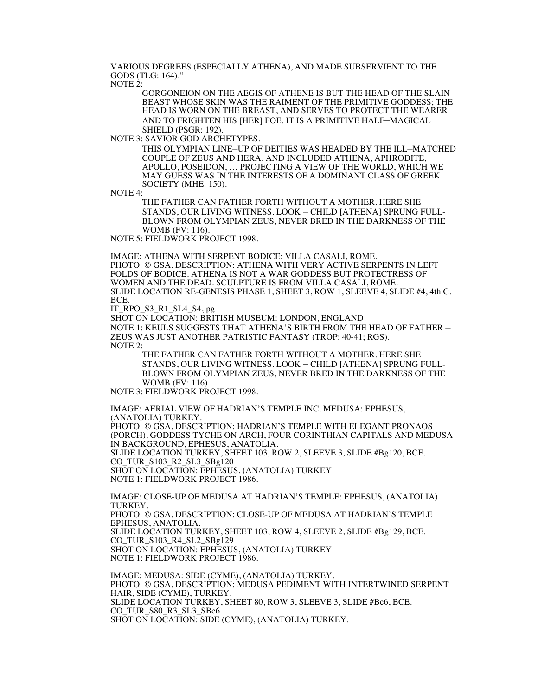VARIOUS DEGREES (ESPECIALLY ATHENA), AND MADE SUBSERVIENT TO THE GODS (TLG: 164)."

NOTE 2:

GORGONEION ON THE AEGIS OF ATHENE IS BUT THE HEAD OF THE SLAIN BEAST WHOSE SKIN WAS THE RAIMENT OF THE PRIMITIVE GODDESS; THE HEAD IS WORN ON THE BREAST, AND SERVES TO PROTECT THE WEARER AND TO FRIGHTEN HIS [HER] FOE. IT IS A PRIMITIVE HALF–MAGICAL SHIELD (PSGR: 192).

NOTE 3: SAVIOR GOD ARCHETYPES.

THIS OLYMPIAN LINE–UP OF DEITIES WAS HEADED BY THE ILL–MATCHED COUPLE OF ZEUS AND HERA, AND INCLUDED ATHENA, APHRODITE, APOLLO, POSEIDON, … PROJECTING A VIEW OF THE WORLD, WHICH WE MAY GUESS WAS IN THE INTERESTS OF A DOMINANT CLASS OF GREEK SOCIETY (MHE: 150).

NOTE 4:

THE FATHER CAN FATHER FORTH WITHOUT A MOTHER. HERE SHE STANDS, OUR LIVING WITNESS. LOOK – CHILD [ATHENA] SPRUNG FULL-BLOWN FROM OLYMPIAN ZEUS, NEVER BRED IN THE DARKNESS OF THE WOMB (FV: 116).

NOTE 5: FIELDWORK PROJECT 1998.

IMAGE: ATHENA WITH SERPENT BODICE: VILLA CASALI, ROME. PHOTO: © GSA. DESCRIPTION: ATHENA WITH VERY ACTIVE SERPENTS IN LEFT FOLDS OF BODICE. ATHENA IS NOT A WAR GODDESS BUT PROTECTRESS OF WOMEN AND THE DEAD. SCULPTURE IS FROM VILLA CASALI, ROME. SLIDE LOCATION RE-GENESIS PHASE 1, SHEET 3, ROW 1, SLEEVE 4, SLIDE #4, 4th C. BCE.

IT\_RPO\_S3\_R1\_SL4\_S4.jpg

SHOT ON LOCATION: BRITISH MUSEUM: LONDON, ENGLAND.

NOTE 1: KEULS SUGGESTS THAT ATHENA'S BIRTH FROM THE HEAD OF FATHER – ZEUS WAS JUST ANOTHER PATRISTIC FANTASY (TROP: 40-41; RGS). NOTE 2:

THE FATHER CAN FATHER FORTH WITHOUT A MOTHER. HERE SHE STANDS, OUR LIVING WITNESS. LOOK – CHILD [ATHENA] SPRUNG FULL-BLOWN FROM OLYMPIAN ZEUS, NEVER BRED IN THE DARKNESS OF THE WOMB (FV: 116).

NOTE 3: FIELDWORK PROJECT 1998.

IMAGE: AERIAL VIEW OF HADRIAN'S TEMPLE INC. MEDUSA: EPHESUS, (ANATOLIA) TURKEY. PHOTO: © GSA. DESCRIPTION: HADRIAN'S TEMPLE WITH ELEGANT PRONAOS (PORCH), GODDESS TYCHE ON ARCH, FOUR CORINTHIAN CAPITALS AND MEDUSA IN BACKGROUND, EPHESUS, ANATOLIA. SLIDE LOCATION TURKEY, SHEET 103, ROW 2, SLEEVE 3, SLIDE #Bg120, BCE. CO\_TUR\_S103\_R2\_SL3\_SBg120 SHOT ON LOCATION: EPHESUS, (ANATOLIA) TURKEY.

NOTE 1: FIELDWORK PROJECT 1986.

IMAGE: CLOSE-UP OF MEDUSA AT HADRIAN'S TEMPLE: EPHESUS, (ANATOLIA) TURKEY. PHOTO: © GSA. DESCRIPTION: CLOSE-UP OF MEDUSA AT HADRIAN'S TEMPLE EPHESUS, ANATOLIA. SLIDE LOCATION TURKEY, SHEET 103, ROW 4, SLEEVE 2, SLIDE #Bg129, BCE. CO\_TUR\_S103\_R4\_SL2\_SBg129 SHOT ON LOCATION: EPHESUS, (ANATOLIA) TURKEY. NOTE 1: FIELDWORK PROJECT 1986.

IMAGE: MEDUSA: SIDE (CYME), (ANATOLIA) TURKEY. PHOTO: © GSA. DESCRIPTION: MEDUSA PEDIMENT WITH INTERTWINED SERPENT HAIR, SIDE (CYME), TURKEY. SLIDE LOCATION TURKEY, SHEET 80, ROW 3, SLEEVE 3, SLIDE #Bc6, BCE. CO\_TUR\_S80\_R3\_SL3\_SBc6 SHOT ON LOCATION: SIDE (CYME), (ANATOLIA) TURKEY.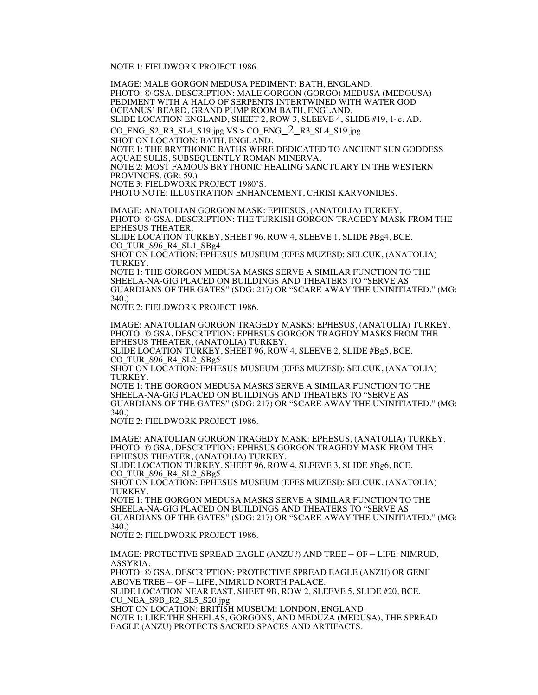NOTE 1: FIELDWORK PROJECT 1986.

IMAGE: MALE GORGON MEDUSA PEDIMENT: BATH, ENGLAND. PHOTO: © GSA. DESCRIPTION: MALE GORGON (GORGO) MEDUSA (MEDOUSA) PEDIMENT WITH A HALO OF SERPENTS INTERTWINED WITH WATER GOD OCEANUS' BEARD, GRAND PUMP ROOM BATH, ENGLAND. SLIDE LOCATION ENGLAND, SHEET 2, ROW 3, SLEEVE 4, SLIDE #19, 1 ° c. AD.  $CO\_ENG_S2_R3_SL4_S19.jpg$  VS.>  $CO\_ENG_2_R3_SL4_S19.jpg$ SHOT ON LOCATION: BATH, ENGLAND. NOTE 1: THE BRYTHONIC BATHS WERE DEDICATED TO ANCIENT SUN GODDESS AQUAE SULIS, SUBSEQUENTLY ROMAN MINERVA. NOTE 2: MOST FAMOUS BRYTHONIC HEALING SANCTUARY IN THE WESTERN PROVINCES. (GR: 59.) NOTE 3: FIELDWORK PROJECT 1980'S. PHOTO NOTE: ILLUSTRATION ENHANCEMENT, CHRISI KARVONIDES. IMAGE: ANATOLIAN GORGON MASK: EPHESUS, (ANATOLIA) TURKEY. PHOTO: © GSA. DESCRIPTION: THE TURKISH GORGON TRAGEDY MASK FROM THE SLIDE LOCATION TURKEY, SHEET 96, ROW 4, SLEEVE 1, SLIDE #Bg4, BCE. CO\_TUR\_S96\_R4\_SL1\_SBg4 SHOT ON LOCATION: EPHESUS MUSEUM (EFES MUZESI): SELCUK, (ANATOLIA) TURKEY. NOTE 1: THE GORGON MEDUSA MASKS SERVE A SIMILAR FUNCTION TO THE SHEELA-NA-GIG PLACED ON BUILDINGS AND THEATERS TO "SERVE AS GUARDIANS OF THE GATES" (SDG: 217) OR "SCARE AWAY THE UNINITIATED." (MG: 340.) NOTE 2: FIELDWORK PROJECT 1986. IMAGE: ANATOLIAN GORGON TRAGEDY MASKS: EPHESUS, (ANATOLIA) TURKEY. PHOTO: © GSA. DESCRIPTION: EPHESUS GORGON TRAGEDY MASKS FROM THE EPHESUS THEATER, (ANATOLIA) TURKEY. SLIDE LOCATION TURKEY, SHEET 96, ROW 4, SLEEVE 2, SLIDE #Bg5, BCE. CO TUR S96 R4 SL2 SBg5 SHOT ON LOCATION: EPHESUS MUSEUM (EFES MUZESI): SELCUK, (ANATOLIA) TURKEY. NOTE 1: THE GORGON MEDUSA MASKS SERVE A SIMILAR FUNCTION TO THE SHEELA-NA-GIG PLACED ON BUILDINGS AND THEATERS TO "SERVE AS GUARDIANS OF THE GATES" (SDG: 217) OR "SCARE AWAY THE UNINITIATED." (MG: 340.) NOTE 2: FIELDWORK PROJECT 1986. IMAGE: ANATOLIAN GORGON TRAGEDY MASK: EPHESUS, (ANATOLIA) TURKEY. PHOTO: © GSA. DESCRIPTION: EPHESUS GORGON TRAGEDY MASK FROM THE EPHESUS THEATER, (ANATOLIA) TURKEY. SLIDE LOCATION TURKEY, SHEET 96, ROW 4, SLEEVE 3, SLIDE #Bg6, BCE. CO\_TUR\_S96\_R4\_SL2\_SBg5 SHOT ON LOCATION: EPHESUS MUSEUM (EFES MUZESI): SELCUK, (ANATOLIA) TURKEY.

NOTE 1: THE GORGON MEDUSA MASKS SERVE A SIMILAR FUNCTION TO THE SHEELA-NA-GIG PLACED ON BUILDINGS AND THEATERS TO "SERVE AS GUARDIANS OF THE GATES" (SDG: 217) OR "SCARE AWAY THE UNINITIATED." (MG: 340.)

NOTE 2: FIELDWORK PROJECT 1986.

IMAGE: PROTECTIVE SPREAD EAGLE (ANZU?) AND TREE – OF – LIFE: NIMRUD, ASSYRIA.

PHOTO: © GSA. DESCRIPTION: PROTECTIVE SPREAD EAGLE (ANZU) OR GENII ABOVE TREE – OF – LIFE, NIMRUD NORTH PALACE.

SLIDE LOCATION NEAR EAST, SHEET 9B, ROW 2, SLEEVE 5, SLIDE #20, BCE. CU\_NEA\_S9B\_R2\_SL5\_S20.jpg

SHOT ON LOCATION: BRITISH MUSEUM: LONDON, ENGLAND.

NOTE 1: LIKE THE SHEELAS, GORGONS, AND MEDUZA (MEDUSA), THE SPREAD EAGLE (ANZU) PROTECTS SACRED SPACES AND ARTIFACTS.